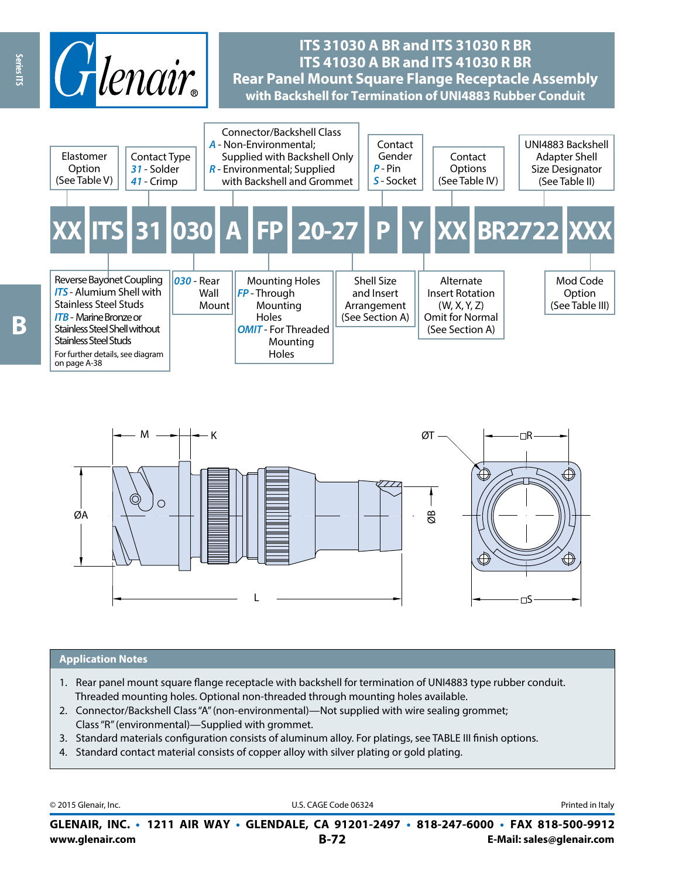



#### **Application Notes**

- 1. Rear panel mount square flange receptacle with backshell for termination of UNI4883 type rubber conduit. Threaded mounting holes. Optional non-threaded through mounting holes available.
- 2. Connector/Backshell Class "A" (non-environmental)—Not supplied with wire sealing grommet; Class "R" (environmental)—Supplied with grommet.
- 3. Standard materials configuration consists of aluminum alloy. For platings, see TABLE III finish options.
- 4. Standard contact material consists of copper alloy with silver plating or gold plating.

© 2015 Glenair, Inc. **Discription Construction Construction Construction Construction Construction Construction Construction Construction Construction Construction Construction Construction Construction Construction Constr** 

**www.glenair.com B-72 E-Mail: sales@glenair.com GLENAIR, INC. • 1211 AIR WAY • GLENDALE, CA 91201-2497 • 818-247-6000 • FAX 818-500-9912**